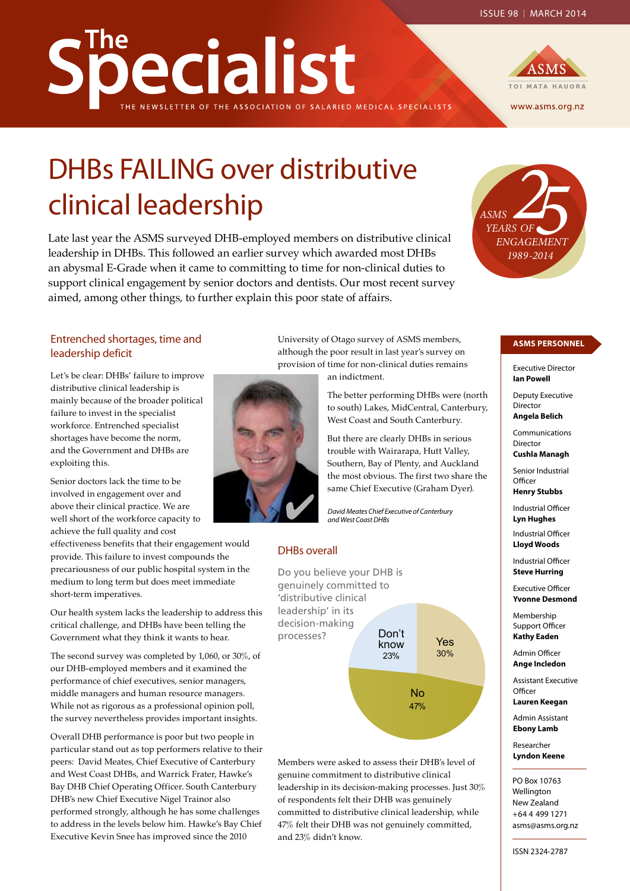# becialist OF THE ASSOCIATION OF SALARIED MEDICAL SPECIALISTS



# DHBs FAILING over distributive clinical leadership

**ASMS**<br> *FEARS OF*<br> *FRAGEMENT*<br>
FRS Late last year the ASMS surveyed DHB-employed members on distributive clinical leadership in DHBs. This followed an earlier survey which awarded most DHBs an abysmal E-Grade when it came to committing to time for non-clinical duties to support clinical engagement by senior doctors and dentists. Our most recent survey aimed, among other things, to further explain this poor state of affairs.

#### Entrenched shortages, time and leadership deficit

Let's be clear: DHBs' failure to improve distributive clinical leadership is mainly because of the broader political failure to invest in the specialist workforce. Entrenched specialist shortages have become the norm, and the Government and DHBs are exploiting this.

Senior doctors lack the time to be involved in engagement over and above their clinical practice. We are well short of the workforce capacity to achieve the full quality and cost

effectiveness benefits that their engagement would provide. This failure to invest compounds the precariousness of our public hospital system in the medium to long term but does meet immediate short-term imperatives.

Our health system lacks the leadership to address this critical challenge, and DHBs have been telling the Government what they think it wants to hear.

The second survey was completed by 1,060, or 30%, of our DHB-employed members and it examined the performance of chief executives, senior managers, middle managers and human resource managers. While not as rigorous as a professional opinion poll, the survey nevertheless provides important insights.

Overall DHB performance is poor but two people in particular stand out as top performers relative to their peers: David Meates, Chief Executive of Canterbury and West Coast DHBs, and Warrick Frater, Hawke's Bay DHB Chief Operating Officer. South Canterbury DHB's new Chief Executive Nigel Trainor also performed strongly, although he has some challenges to address in the levels below him. Hawke's Bay Chief Executive Kevin Snee has improved since the 2010

University of Otago survey of ASMS members, although the poor result in last year's survey on provision of time for non-clinical duties remains



an indictment.

The better performing DHBs were (north to south) Lakes, MidCentral, Canterbury, West Coast and South Canterbury.

But there are clearly DHBs in serious trouble with Wairarapa, Hutt Valley, Southern, Bay of Plenty, and Auckland the most obvious. The first two share the same Chief Executive (Graham Dyer).

*David Meates Chief Executive of Canterbury and West Coast DHBs*

#### DHBs overall



Members were asked to assess their DHB's level of genuine commitment to distributive clinical leadership in its decision-making processes. Just 30% of respondents felt their DHB was genuinely committed to distributive clinical leadership, while 47% felt their DHB was not genuinely committed, and 23% didn't know.

#### **ASMS PERSONNEL**

Executive Director **Ian Powell**

*ENGAGEMENT*

*1989-2014*

*YEARS OF*

Deputy Executive Director **Angela Belich**

Communications Director **Cushla Managh**

Senior Industrial **Officer** 

**Henry Stubbs**

Industrial Officer **Lyn Hughes**

Industrial Officer **Lloyd Woods**

Industrial Officer **Steve Hurring**

Executive Officer **Yvonne Desmond**

Membership Support Officer **Kathy Eaden**

Admin Officer **Ange Incledon**

Assistant Executive **Officer Lauren Keegan**

Admin Assistant **Ebony Lamb**

Researcher **Lyndon Keene**

PO Box 10763 Wellington New Zealand +64 4 499 1271 asms@asms.org.nz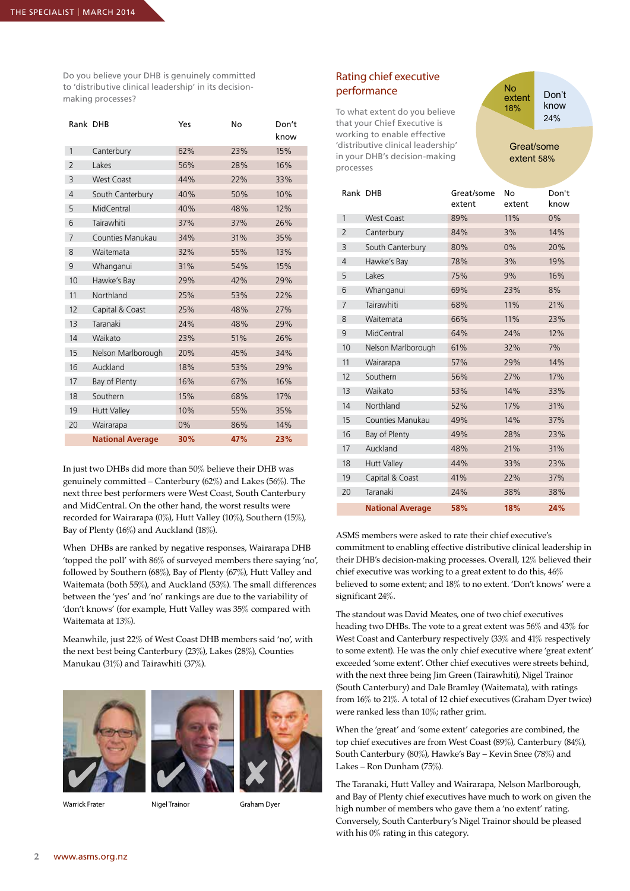Do you believe your DHB is genuinely committed to 'distributive clinical leadership' in its decisionmaking processes?

|  | Rank DHB       |                         | Yes | No  | Don't<br>know |
|--|----------------|-------------------------|-----|-----|---------------|
|  | 1              | Canterbury              | 62% | 23% | 15%           |
|  | $\overline{2}$ | Lakes                   | 56% | 28% | 16%           |
|  | 3              | <b>West Coast</b>       | 44% | 22% | 33%           |
|  | $\overline{4}$ | South Canterbury        | 40% | 50% | 10%           |
|  | 5              | MidCentral              | 40% | 48% | 12%           |
|  | 6              | Tairawhiti              | 37% | 37% | 26%           |
|  | $\overline{7}$ | Counties Manukau        | 34% | 31% | 35%           |
|  | 8              | Waitemata               | 32% | 55% | 13%           |
|  | 9              | Whanganui               | 31% | 54% | 15%           |
|  | 10             | Hawke's Bay             | 29% | 42% | 29%           |
|  | 11             | Northland               | 25% | 53% | 22%           |
|  | 12             | Capital & Coast         | 25% | 48% | 27%           |
|  | 13             | Taranaki                | 24% | 48% | 29%           |
|  | 14             | Waikato                 | 23% | 51% | 26%           |
|  | 15             | Nelson Marlborough      | 20% | 45% | 34%           |
|  | 16             | Auckland                | 18% | 53% | 29%           |
|  | 17             | Bay of Plenty           | 16% | 67% | 16%           |
|  | 18             | Southern                | 15% | 68% | 17%           |
|  | 19             | <b>Hutt Valley</b>      | 10% | 55% | 35%           |
|  | 20             | Wairarapa               | 0%  | 86% | 14%           |
|  |                | <b>National Average</b> | 30% | 47% | 23%           |
|  |                |                         |     |     |               |

In just two DHBs did more than 50% believe their DHB was genuinely committed – Canterbury (62%) and Lakes (56%). The next three best performers were West Coast, South Canterbury and MidCentral. On the other hand, the worst results were recorded for Wairarapa (0%), Hutt Valley (10%), Southern (15%), Bay of Plenty (16%) and Auckland (18%).

When DHBs are ranked by negative responses, Wairarapa DHB 'topped the poll' with 86% of surveyed members there saying 'no', followed by Southern (68%), Bay of Plenty (67%), Hutt Valley and Waitemata (both 55%), and Auckland (53%). The small differences between the 'yes' and 'no' rankings are due to the variability of 'don't knows' (for example, Hutt Valley was 35% compared with Waitemata at 13%).

Meanwhile, just 22% of West Coast DHB members said 'no', with the next best being Canterbury (23%), Lakes (28%), Counties Manukau (31%) and Tairawhiti (37%).





Warrick Frater **Nigel Trainor** Graham Dyer

#### Rating chief executive performance

To what extent do you believe that your Chief Executive is working to enable effective 'distributive clinical leadership' in your DHB's decision-making processes

Don't know 24% No extent 18%

Great/some extent 58%

| Rank DHB       |                         | Great/some<br>extent | No<br>extent | Don't<br>know |
|----------------|-------------------------|----------------------|--------------|---------------|
| 1              | <b>West Coast</b>       | 89%                  | 11%          | $0\%$         |
| $\overline{2}$ | Canterbury              | 84%                  | 3%           | 14%           |
| 3              | South Canterbury        | 80%                  | 0%           | 20%           |
| $\overline{4}$ | Hawke's Bay             | 78%                  | 3%           | 19%           |
| 5              | Lakes                   | 75%                  | 9%           | 16%           |
| 6              | Whanganui               | 69%                  | 23%          | 8%            |
| $\overline{7}$ | Tairawhiti              | 68%                  | 11%          | 21%           |
| 8              | Waitemata               | 66%                  | 11%          | 23%           |
| 9              | MidCentral              | 64%                  | 24%          | 12%           |
| 10             | Nelson Marlborough      | 61%                  | 32%          | 7%            |
| 11             | Wairarapa               | 57%                  | 29%          | 14%           |
| 12             | Southern                | 56%                  | 27%          | 17%           |
| 13             | Waikato                 | 53%                  | 14%          | 33%           |
| 14             | Northland               | 52%                  | 17%          | 31%           |
| 15             | Counties Manukau        | 49%                  | 14%          | 37%           |
| 16             | Bay of Plenty           | 49%                  | 28%          | 23%           |
| 17             | Auckland                | 48%                  | 21%          | 31%           |
| 18             | <b>Hutt Valley</b>      | 44%                  | 33%          | 23%           |
| 19             | Capital & Coast         | 41%                  | 22%          | 37%           |
| 20             | Taranaki                | 24%                  | 38%          | 38%           |
|                | <b>National Average</b> | 58%                  | 18%          | 24%           |

ASMS members were asked to rate their chief executive's commitment to enabling effective distributive clinical leadership in their DHB's decision-making processes. Overall, 12% believed their chief executive was working to a great extent to do this, 46% believed to some extent; and 18% to no extent. 'Don't knows' were a significant 24%.

The standout was David Meates, one of two chief executives heading two DHBs. The vote to a great extent was 56% and 43% for West Coast and Canterbury respectively (33% and 41% respectively to some extent). He was the only chief executive where 'great extent' exceeded 'some extent'. Other chief executives were streets behind, with the next three being Jim Green (Tairawhiti), Nigel Trainor (South Canterbury) and Dale Bramley (Waitemata), with ratings from 16% to 21%. A total of 12 chief executives (Graham Dyer twice) were ranked less than 10%; rather grim.

When the 'great' and 'some extent' categories are combined, the top chief executives are from West Coast (89%), Canterbury (84%), South Canterbury (80%), Hawke's Bay – Kevin Snee (78%) and Lakes – Ron Dunham (75%).

The Taranaki, Hutt Valley and Wairarapa, Nelson Marlborough, and Bay of Plenty chief executives have much to work on given the high number of members who gave them a 'no extent' rating. Conversely, South Canterbury's Nigel Trainor should be pleased with his 0% rating in this category.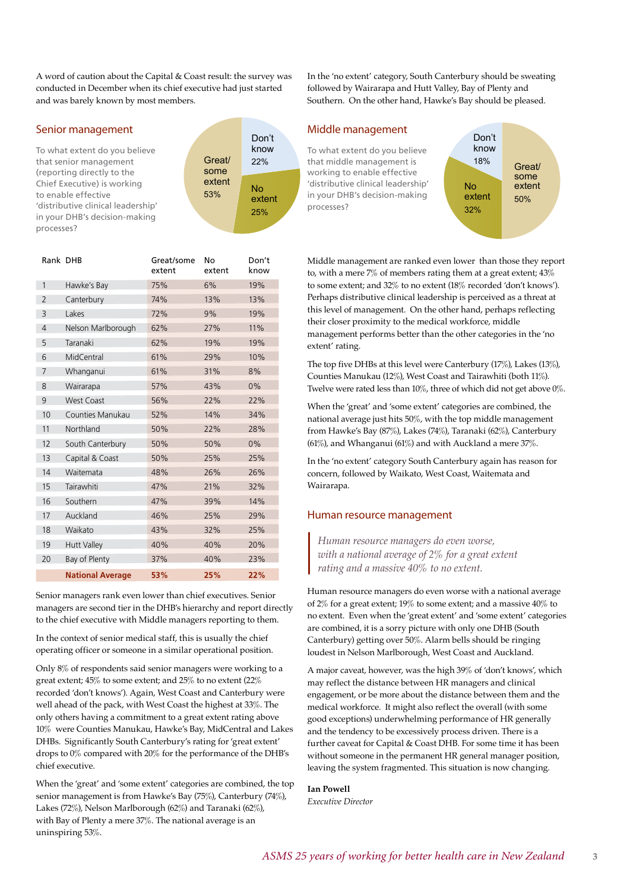A word of caution about the Capital & Coast result: the survey was conducted in December when its chief executive had just started and was barely known by most members.

#### Senior management

To what extent do you believe that senior management (reporting directly to the Chief Executive) is working to enable effective 'distributive clinical leadership' in your DHB's decision-making processes?



| Rank DHB       |                         | Great/some<br>extent | No<br>extent | Don't<br>know |
|----------------|-------------------------|----------------------|--------------|---------------|
| 1              | Hawke's Bay             | 75%                  | 6%           | 19%           |
| $\overline{2}$ | Canterbury              | 74%                  | 13%          | 13%           |
| 3              | Lakes                   | 72%                  | 9%           | 19%           |
| 4              | Nelson Marlborough      | 62%                  | 27%          | 11%           |
| 5              | Taranaki                | 62%                  | 19%          | 19%           |
| 6              | MidCentral              | 61%                  | 29%          | 10%           |
| 7              | Whanganui               | 61%                  | 31%          | 8%            |
| 8              | Wairarapa               | 57%                  | 43%          | $0\%$         |
| 9              | <b>West Coast</b>       | 56%                  | 22%          | 22%           |
| 10             | Counties Manukau        | 52%                  | 14%          | 34%           |
| 11             | Northland               | 50%                  | 22%          | 28%           |
| 12             | South Canterbury        | 50%                  | 50%          | $0\%$         |
| 13             | Capital & Coast         | 50%                  | 25%          | 25%           |
| 14             | Waitemata               | 48%                  | 26%          | 26%           |
| 15             | Tairawhiti              | 47%                  | 21%          | 32%           |
| 16             | Southern                | 47%                  | 39%          | 14%           |
| 17             | Auckland                | 46%                  | 25%          | 29%           |
| 18             | Waikato                 | 43%                  | 32%          | 25%           |
| 19             | <b>Hutt Valley</b>      | 40%                  | 40%          | 20%           |
| 20             | Bay of Plenty           | 37%                  | 40%          | 23%           |
|                | <b>National Average</b> | 53%                  | 25%          | 22%           |

Senior managers rank even lower than chief executives. Senior managers are second tier in the DHB's hierarchy and report directly to the chief executive with Middle managers reporting to them.

In the context of senior medical staff, this is usually the chief operating officer or someone in a similar operational position.

Only 8% of respondents said senior managers were working to a great extent; 45% to some extent; and 25% to no extent (22% recorded 'don't knows'). Again, West Coast and Canterbury were well ahead of the pack, with West Coast the highest at 33%. The only others having a commitment to a great extent rating above 10% were Counties Manukau, Hawke's Bay, MidCentral and Lakes DHBs. Significantly South Canterbury's rating for 'great extent' drops to 0% compared with 20% for the performance of the DHB's chief executive.

When the 'great' and 'some extent' categories are combined, the top senior management is from Hawke's Bay (75%), Canterbury (74%), Lakes (72%), Nelson Marlborough (62%) and Taranaki (62%), with Bay of Plenty a mere 37%. The national average is an uninspiring 53%.

In the 'no extent' category, South Canterbury should be sweating followed by Wairarapa and Hutt Valley, Bay of Plenty and Southern. On the other hand, Hawke's Bay should be pleased.

#### Middle management

To what extent do you believe that middle management is working to enable effective 'distributive clinical leadership' in your DHB's decision-making processes?

No extent 32% Don't know 18% Great/ some extent 50%

Middle management are ranked even lower than those they report to, with a mere 7% of members rating them at a great extent; 43% to some extent; and 32% to no extent (18% recorded 'don't knows'). Perhaps distributive clinical leadership is perceived as a threat at this level of management. On the other hand, perhaps reflecting their closer proximity to the medical workforce, middle management performs better than the other categories in the 'no extent' rating.

The top five DHBs at this level were Canterbury (17%), Lakes (13%), Counties Manukau (12%), West Coast and Tairawhiti (both 11%). Twelve were rated less than 10%, three of which did not get above 0%.

When the 'great' and 'some extent' categories are combined, the national average just hits 50%, with the top middle management from Hawke's Bay (87%), Lakes (74%), Taranaki (62%), Canterbury (61%), and Whanganui (61%) and with Auckland a mere 37%.

In the 'no extent' category South Canterbury again has reason for concern, followed by Waikato, West Coast, Waitemata and Wairarapa.

#### Human resource management

*Human resource managers do even worse, with a national average of 2% for a great extent rating and a massive 40% to no extent.*

Human resource managers do even worse with a national average of 2% for a great extent; 19% to some extent; and a massive 40% to no extent. Even when the 'great extent' and 'some extent' categories are combined, it is a sorry picture with only one DHB (South Canterbury) getting over 50%. Alarm bells should be ringing loudest in Nelson Marlborough, West Coast and Auckland.

A major caveat, however, was the high 39% of 'don't knows', which may reflect the distance between HR managers and clinical engagement, or be more about the distance between them and the medical workforce. It might also reflect the overall (with some good exceptions) underwhelming performance of HR generally and the tendency to be excessively process driven. There is a further caveat for Capital & Coast DHB. For some time it has been without someone in the permanent HR general manager position, leaving the system fragmented. This situation is now changing.

#### **Ian Powell**

*Executive Director*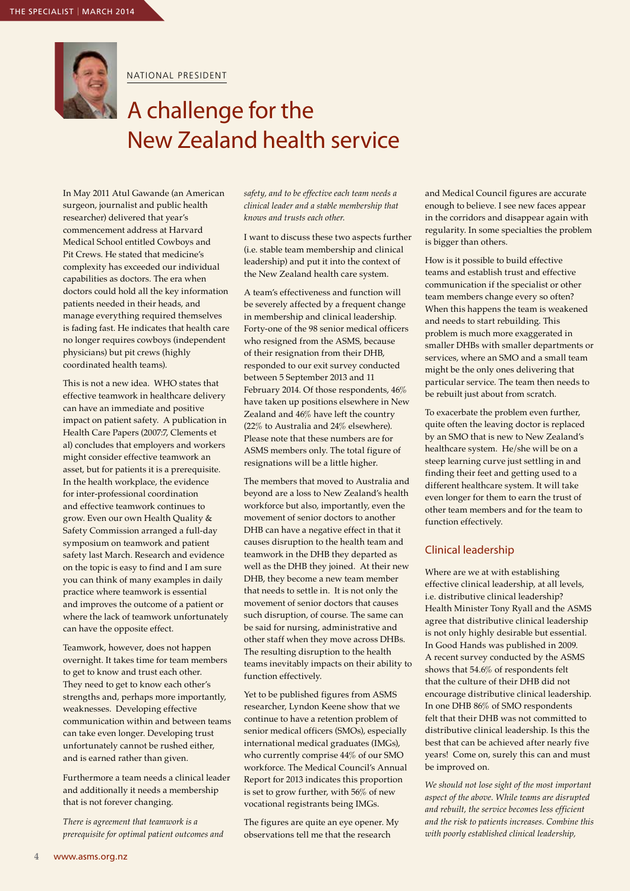

NATIONAL PRESIDENT

### A challenge for the New Zealand health service

In May 2011 Atul Gawande (an American surgeon, journalist and public health researcher) delivered that year's commencement address at Harvard Medical School entitled Cowboys and Pit Crews. He stated that medicine's complexity has exceeded our individual capabilities as doctors. The era when doctors could hold all the key information patients needed in their heads, and manage everything required themselves is fading fast. He indicates that health care no longer requires cowboys (independent physicians) but pit crews (highly coordinated health teams).

This is not a new idea. WHO states that effective teamwork in healthcare delivery can have an immediate and positive impact on patient safety. A publication in Health Care Papers (2007:7, Clements et al) concludes that employers and workers might consider effective teamwork an asset, but for patients it is a prerequisite. In the health workplace, the evidence for inter-professional coordination and effective teamwork continues to grow. Even our own Health Quality & Safety Commission arranged a full-day symposium on teamwork and patient safety last March. Research and evidence on the topic is easy to find and I am sure you can think of many examples in daily practice where teamwork is essential and improves the outcome of a patient or where the lack of teamwork unfortunately can have the opposite effect.

Teamwork, however, does not happen overnight. It takes time for team members to get to know and trust each other. They need to get to know each other's strengths and, perhaps more importantly, weaknesses. Developing effective communication within and between teams can take even longer. Developing trust unfortunately cannot be rushed either, and is earned rather than given.

Furthermore a team needs a clinical leader and additionally it needs a membership that is not forever changing.

*There is agreement that teamwork is a prerequisite for optimal patient outcomes and*  *safety, and to be effective each team needs a clinical leader and a stable membership that knows and trusts each other.*

I want to discuss these two aspects further (i.e. stable team membership and clinical leadership) and put it into the context of the New Zealand health care system.

A team's effectiveness and function will be severely affected by a frequent change in membership and clinical leadership. Forty-one of the 98 senior medical officers who resigned from the ASMS, because of their resignation from their DHB, responded to our exit survey conducted between 5 September 2013 and 11 February 2014. Of those respondents, 46% have taken up positions elsewhere in New Zealand and 46% have left the country (22% to Australia and 24% elsewhere). Please note that these numbers are for ASMS members only. The total figure of resignations will be a little higher.

The members that moved to Australia and beyond are a loss to New Zealand's health workforce but also, importantly, even the movement of senior doctors to another DHB can have a negative effect in that it causes disruption to the health team and teamwork in the DHB they departed as well as the DHB they joined. At their new DHB, they become a new team member that needs to settle in. It is not only the movement of senior doctors that causes such disruption, of course. The same can be said for nursing, administrative and other staff when they move across DHBs. The resulting disruption to the health teams inevitably impacts on their ability to function effectively.

Yet to be published figures from ASMS researcher, Lyndon Keene show that we continue to have a retention problem of senior medical officers (SMOs), especially international medical graduates (IMGs), who currently comprise 44% of our SMO workforce. The Medical Council's Annual Report for 2013 indicates this proportion is set to grow further, with 56% of new vocational registrants being IMGs.

The figures are quite an eye opener. My observations tell me that the research

and Medical Council figures are accurate enough to believe. I see new faces appear in the corridors and disappear again with regularity. In some specialties the problem is bigger than others.

How is it possible to build effective teams and establish trust and effective communication if the specialist or other team members change every so often? When this happens the team is weakened and needs to start rebuilding. This problem is much more exaggerated in smaller DHBs with smaller departments or services, where an SMO and a small team might be the only ones delivering that particular service. The team then needs to be rebuilt just about from scratch.

To exacerbate the problem even further, quite often the leaving doctor is replaced by an SMO that is new to New Zealand's healthcare system. He/she will be on a steep learning curve just settling in and finding their feet and getting used to a different healthcare system. It will take even longer for them to earn the trust of other team members and for the team to function effectively.

#### Clinical leadership

Where are we at with establishing effective clinical leadership, at all levels, i.e. distributive clinical leadership? Health Minister Tony Ryall and the ASMS agree that distributive clinical leadership is not only highly desirable but essential. In Good Hands was published in 2009. A recent survey conducted by the ASMS shows that 54.6% of respondents felt that the culture of their DHB did not encourage distributive clinical leadership. In one DHB 86% of SMO respondents felt that their DHB was not committed to distributive clinical leadership. Is this the best that can be achieved after nearly five years! Come on, surely this can and must be improved on.

*We should not lose sight of the most important aspect of the above. While teams are disrupted and rebuilt, the service becomes less efficient and the risk to patients increases. Combine this with poorly established clinical leadership,*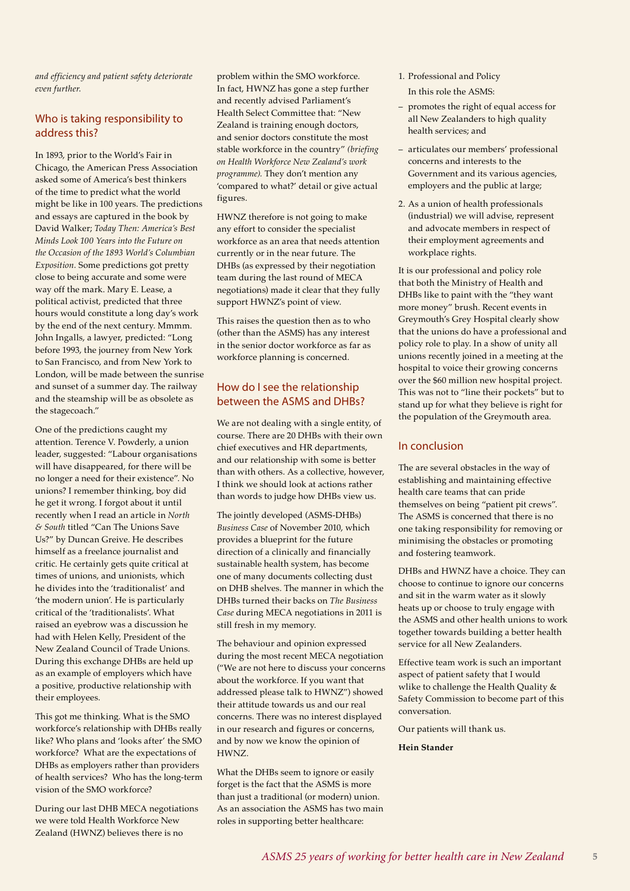*and efficiency and patient safety deteriorate even further.*

#### Who is taking responsibility to address this?

In 1893, prior to the World's Fair in Chicago, the American Press Association asked some of America's best thinkers of the time to predict what the world might be like in 100 years. The predictions and essays are captured in the book by David Walker; *Today Then: America's Best Minds Look 100 Years into the Future on the Occasion of the 1893 World's Columbian Exposition.* Some predictions got pretty close to being accurate and some were way off the mark. Mary E. Lease, a political activist, predicted that three hours would constitute a long day's work by the end of the next century. Mmmm. John Ingalls, a lawyer, predicted: "Long before 1993, the journey from New York to San Francisco, and from New York to London, will be made between the sunrise and sunset of a summer day. The railway and the steamship will be as obsolete as the stagecoach."

One of the predictions caught my attention. Terence V. Powderly, a union leader, suggested: "Labour organisations will have disappeared, for there will be no longer a need for their existence". No unions? I remember thinking, boy did he get it wrong. I forgot about it until recently when I read an article in *North & South* titled "Can The Unions Save Us?" by Duncan Greive. He describes himself as a freelance journalist and critic. He certainly gets quite critical at times of unions, and unionists, which he divides into the 'traditionalist' and 'the modern union'. He is particularly critical of the 'traditionalists'. What raised an eyebrow was a discussion he had with Helen Kelly, President of the New Zealand Council of Trade Unions. During this exchange DHBs are held up as an example of employers which have a positive, productive relationship with their employees.

This got me thinking. What is the SMO workforce's relationship with DHBs really like? Who plans and 'looks after' the SMO workforce? What are the expectations of DHBs as employers rather than providers of health services? Who has the long-term vision of the SMO workforce?

During our last DHB MECA negotiations we were told Health Workforce New Zealand (HWNZ) believes there is no

problem within the SMO workforce. In fact, HWNZ has gone a step further and recently advised Parliament's Health Select Committee that: "New Zealand is training enough doctors, and senior doctors constitute the most stable workforce in the country" *(briefing on Health Workforce New Zealand's work programme).* They don't mention any 'compared to what?' detail or give actual figures.

HWNZ therefore is not going to make any effort to consider the specialist workforce as an area that needs attention currently or in the near future. The DHBs (as expressed by their negotiation team during the last round of MECA negotiations) made it clear that they fully support HWNZ's point of view.

This raises the question then as to who (other than the ASMS) has any interest in the senior doctor workforce as far as workforce planning is concerned.

#### How do I see the relationship between the ASMS and DHBs?

We are not dealing with a single entity, of course. There are 20 DHBs with their own chief executives and HR departments, and our relationship with some is better than with others. As a collective, however, I think we should look at actions rather than words to judge how DHBs view us.

The jointly developed (ASMS-DHBs) *Business Case* of November 2010, which provides a blueprint for the future direction of a clinically and financially sustainable health system, has become one of many documents collecting dust on DHB shelves. The manner in which the DHBs turned their backs on *The Business Case* during MECA negotiations in 2011 is still fresh in my memory.

The behaviour and opinion expressed during the most recent MECA negotiation ("We are not here to discuss your concerns about the workforce. If you want that addressed please talk to HWNZ") showed their attitude towards us and our real concerns. There was no interest displayed in our research and figures or concerns, and by now we know the opinion of HWNZ.

What the DHBs seem to ignore or easily forget is the fact that the ASMS is more than just a traditional (or modern) union. As an association the ASMS has two main roles in supporting better healthcare:

- 1. Professional and Policy In this role the ASMS:
- promotes the right of equal access for all New Zealanders to high quality health services; and
- articulates our members' professional concerns and interests to the Government and its various agencies, employers and the public at large;
- 2. As a union of health professionals (industrial) we will advise, represent and advocate members in respect of their employment agreements and workplace rights.

It is our professional and policy role that both the Ministry of Health and DHBs like to paint with the "they want more money" brush. Recent events in Greymouth's Grey Hospital clearly show that the unions do have a professional and policy role to play. In a show of unity all unions recently joined in a meeting at the hospital to voice their growing concerns over the \$60 million new hospital project. This was not to "line their pockets" but to stand up for what they believe is right for the population of the Greymouth area.

#### In conclusion

The are several obstacles in the way of establishing and maintaining effective health care teams that can pride themselves on being "patient pit crews". The ASMS is concerned that there is no one taking responsibility for removing or minimising the obstacles or promoting and fostering teamwork.

DHBs and HWNZ have a choice. They can choose to continue to ignore our concerns and sit in the warm water as it slowly heats up or choose to truly engage with the ASMS and other health unions to work together towards building a better health service for all New Zealanders.

Effective team work is such an important aspect of patient safety that I would wlike to challenge the Health Quality & Safety Commission to become part of this conversation.

Our patients will thank us.

#### **Hein Stander**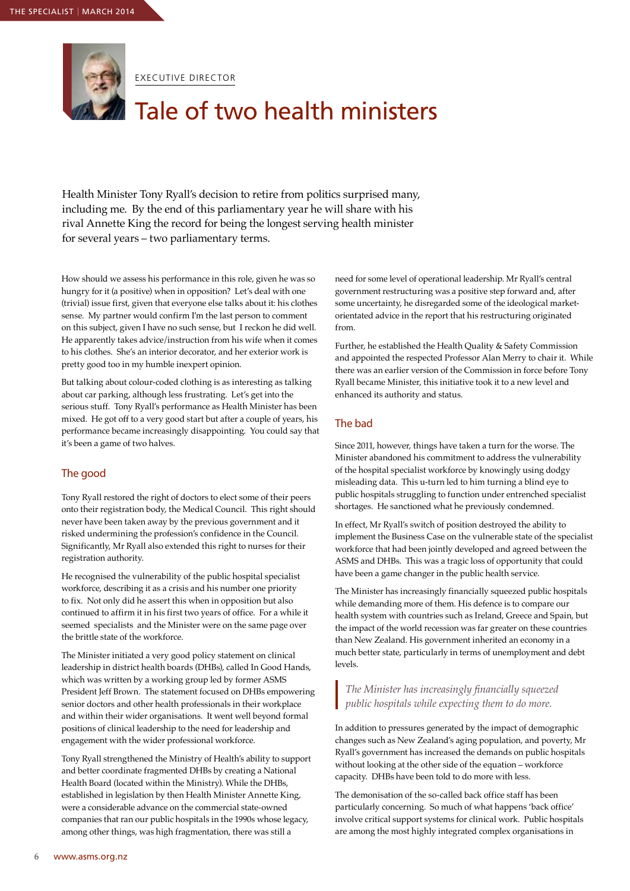

EXECUTIVE DIRECTOR

## Tale of two health ministers

Health Minister Tony Ryall's decision to retire from politics surprised many, including me. By the end of this parliamentary year he will share with his rival Annette King the record for being the longest serving health minister for several years – two parliamentary terms.

How should we assess his performance in this role, given he was so hungry for it (a positive) when in opposition? Let's deal with one (trivial) issue first, given that everyone else talks about it: his clothes sense. My partner would confirm I'm the last person to comment on this subject, given I have no such sense, but I reckon he did well. He apparently takes advice/instruction from his wife when it comes to his clothes. She's an interior decorator, and her exterior work is pretty good too in my humble inexpert opinion.

But talking about colour-coded clothing is as interesting as talking about car parking, although less frustrating. Let's get into the serious stuff. Tony Ryall's performance as Health Minister has been mixed. He got off to a very good start but after a couple of years, his performance became increasingly disappointing. You could say that it's been a game of two halves.

#### The good

Tony Ryall restored the right of doctors to elect some of their peers onto their registration body, the Medical Council. This right should never have been taken away by the previous government and it risked undermining the profession's confidence in the Council. Significantly, Mr Ryall also extended this right to nurses for their registration authority.

He recognised the vulnerability of the public hospital specialist workforce, describing it as a crisis and his number one priority to fix. Not only did he assert this when in opposition but also continued to affirm it in his first two years of office. For a while it seemed specialists and the Minister were on the same page over the brittle state of the workforce.

The Minister initiated a very good policy statement on clinical leadership in district health boards (DHBs), called In Good Hands, which was written by a working group led by former ASMS President Jeff Brown. The statement focused on DHBs empowering senior doctors and other health professionals in their workplace and within their wider organisations. It went well beyond formal positions of clinical leadership to the need for leadership and engagement with the wider professional workforce.

Tony Ryall strengthened the Ministry of Health's ability to support and better coordinate fragmented DHBs by creating a National Health Board (located within the Ministry). While the DHBs, established in legislation by then Health Minister Annette King, were a considerable advance on the commercial state-owned companies that ran our public hospitals in the 1990s whose legacy, among other things, was high fragmentation, there was still a

need for some level of operational leadership. Mr Ryall's central government restructuring was a positive step forward and, after some uncertainty, he disregarded some of the ideological marketorientated advice in the report that his restructuring originated from.

Further, he established the Health Quality & Safety Commission and appointed the respected Professor Alan Merry to chair it. While there was an earlier version of the Commission in force before Tony Ryall became Minister, this initiative took it to a new level and enhanced its authority and status.

#### The bad

Since 2011, however, things have taken a turn for the worse. The Minister abandoned his commitment to address the vulnerability of the hospital specialist workforce by knowingly using dodgy misleading data. This u-turn led to him turning a blind eye to public hospitals struggling to function under entrenched specialist shortages. He sanctioned what he previously condemned.

In effect, Mr Ryall's switch of position destroyed the ability to implement the Business Case on the vulnerable state of the specialist workforce that had been jointly developed and agreed between the ASMS and DHBs. This was a tragic loss of opportunity that could have been a game changer in the public health service.

The Minister has increasingly financially squeezed public hospitals while demanding more of them. His defence is to compare our health system with countries such as Ireland, Greece and Spain, but the impact of the world recession was far greater on these countries than New Zealand. His government inherited an economy in a much better state, particularly in terms of unemployment and debt levels.

#### *The Minister has increasingly financially squeezed public hospitals while expecting them to do more.*

In addition to pressures generated by the impact of demographic changes such as New Zealand's aging population, and poverty, Mr Ryall's government has increased the demands on public hospitals without looking at the other side of the equation – workforce capacity. DHBs have been told to do more with less.

The demonisation of the so-called back office staff has been particularly concerning. So much of what happens 'back office' involve critical support systems for clinical work. Public hospitals are among the most highly integrated complex organisations in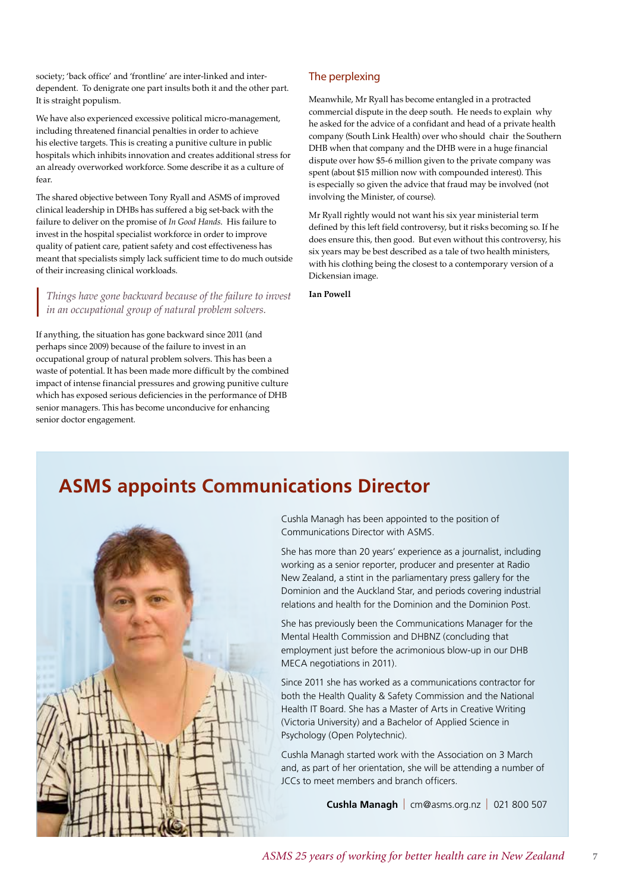society; 'back office' and 'frontline' are inter-linked and interdependent. To denigrate one part insults both it and the other part. It is straight populism.

We have also experienced excessive political micro-management, including threatened financial penalties in order to achieve his elective targets. This is creating a punitive culture in public hospitals which inhibits innovation and creates additional stress for an already overworked workforce. Some describe it as a culture of fear.

The shared objective between Tony Ryall and ASMS of improved clinical leadership in DHBs has suffered a big set-back with the failure to deliver on the promise of *In Good Hands*. His failure to invest in the hospital specialist workforce in order to improve quality of patient care, patient safety and cost effectiveness has meant that specialists simply lack sufficient time to do much outside of their increasing clinical workloads.

*Things have gone backward because of the failure to invest in an occupational group of natural problem solvers.* 

If anything, the situation has gone backward since 2011 (and perhaps since 2009) because of the failure to invest in an occupational group of natural problem solvers. This has been a waste of potential. It has been made more difficult by the combined impact of intense financial pressures and growing punitive culture which has exposed serious deficiencies in the performance of DHB senior managers. This has become unconducive for enhancing senior doctor engagement.

#### The perplexing

Meanwhile, Mr Ryall has become entangled in a protracted commercial dispute in the deep south. He needs to explain why he asked for the advice of a confidant and head of a private health company (South Link Health) over who should chair the Southern DHB when that company and the DHB were in a huge financial dispute over how \$5-6 million given to the private company was spent (about \$15 million now with compounded interest). This is especially so given the advice that fraud may be involved (not involving the Minister, of course).

Mr Ryall rightly would not want his six year ministerial term defined by this left field controversy, but it risks becoming so. If he does ensure this, then good. But even without this controversy, his six years may be best described as a tale of two health ministers, with his clothing being the closest to a contemporary version of a Dickensian image.

**Ian Powell**

### **ASMS appoints Communications Director**



Cushla Managh has been appointed to the position of Communications Director with ASMS.

She has more than 20 years' experience as a journalist, including working as a senior reporter, producer and presenter at Radio New Zealand, a stint in the parliamentary press gallery for the Dominion and the Auckland Star, and periods covering industrial relations and health for the Dominion and the Dominion Post.

She has previously been the Communications Manager for the Mental Health Commission and DHBNZ (concluding that employment just before the acrimonious blow-up in our DHB MECA negotiations in 2011).

Since 2011 she has worked as a communications contractor for both the Health Quality & Safety Commission and the National Health IT Board. She has a Master of Arts in Creative Writing (Victoria University) and a Bachelor of Applied Science in Psychology (Open Polytechnic).

Cushla Managh started work with the Association on 3 March and, as part of her orientation, she will be attending a number of JCCs to meet members and branch officers.

 **Cushla Managh** l cm@asms.org.nz l 021 800 507

**7**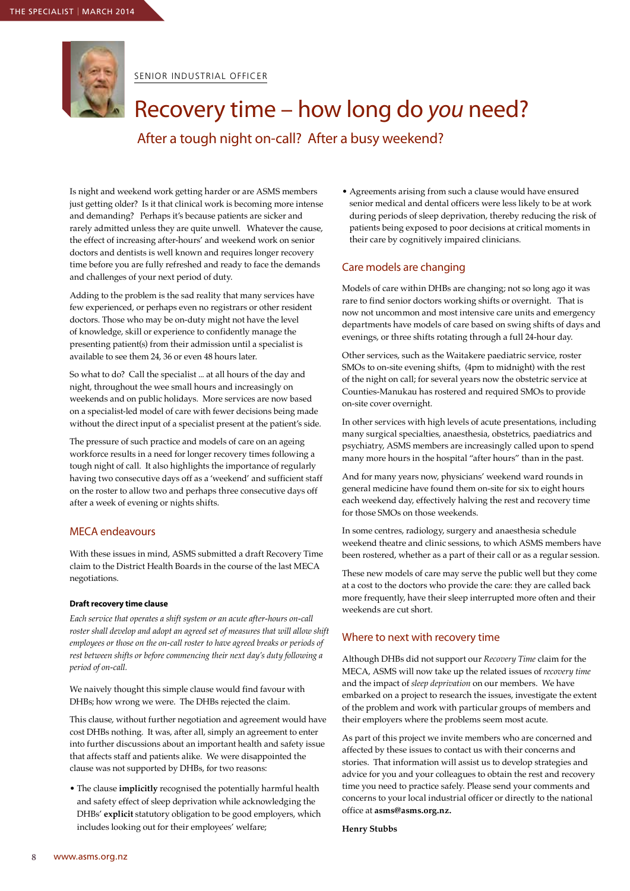

SENIOR INDUSTRIAL OFFICER

### Recovery time – how long do *you* need?

After a tough night on-call? After a busy weekend?

Is night and weekend work getting harder or are ASMS members just getting older? Is it that clinical work is becoming more intense and demanding? Perhaps it's because patients are sicker and rarely admitted unless they are quite unwell. Whatever the cause, the effect of increasing after-hours' and weekend work on senior doctors and dentists is well known and requires longer recovery time before you are fully refreshed and ready to face the demands and challenges of your next period of duty.

Adding to the problem is the sad reality that many services have few experienced, or perhaps even no registrars or other resident doctors. Those who may be on-duty might not have the level of knowledge, skill or experience to confidently manage the presenting patient(s) from their admission until a specialist is available to see them 24, 36 or even 48 hours later.

So what to do? Call the specialist ... at all hours of the day and night, throughout the wee small hours and increasingly on weekends and on public holidays. More services are now based on a specialist-led model of care with fewer decisions being made without the direct input of a specialist present at the patient's side.

The pressure of such practice and models of care on an ageing workforce results in a need for longer recovery times following a tough night of call. It also highlights the importance of regularly having two consecutive days off as a 'weekend' and sufficient staff on the roster to allow two and perhaps three consecutive days off after a week of evening or nights shifts.

#### MECA endeavours

With these issues in mind, ASMS submitted a draft Recovery Time claim to the District Health Boards in the course of the last MECA negotiations.

#### **Draft recovery time clause**

*Each service that operates a shift system or an acute after-hours on-call roster shall develop and adopt an agreed set of measures that will allow shift employees or those on the on-call roster to have agreed breaks or periods of rest between shifts or before commencing their next day's duty following a period of on-call.*

We naively thought this simple clause would find favour with DHBs; how wrong we were. The DHBs rejected the claim.

This clause, without further negotiation and agreement would have cost DHBs nothing. It was, after all, simply an agreement to enter into further discussions about an important health and safety issue that affects staff and patients alike. We were disappointed the clause was not supported by DHBs, for two reasons:

• The clause **implicitly** recognised the potentially harmful health and safety effect of sleep deprivation while acknowledging the DHBs' **explicit** statutory obligation to be good employers, which includes looking out for their employees' welfare;

• Agreements arising from such a clause would have ensured senior medical and dental officers were less likely to be at work during periods of sleep deprivation, thereby reducing the risk of patients being exposed to poor decisions at critical moments in their care by cognitively impaired clinicians.

#### Care models are changing

Models of care within DHBs are changing; not so long ago it was rare to find senior doctors working shifts or overnight. That is now not uncommon and most intensive care units and emergency departments have models of care based on swing shifts of days and evenings, or three shifts rotating through a full 24-hour day.

Other services, such as the Waitakere paediatric service, roster SMOs to on-site evening shifts, (4pm to midnight) with the rest of the night on call; for several years now the obstetric service at Counties-Manukau has rostered and required SMOs to provide on-site cover overnight.

In other services with high levels of acute presentations, including many surgical specialties, anaesthesia, obstetrics, paediatrics and psychiatry, ASMS members are increasingly called upon to spend many more hours in the hospital "after hours" than in the past.

And for many years now, physicians' weekend ward rounds in general medicine have found them on-site for six to eight hours each weekend day, effectively halving the rest and recovery time for those SMOs on those weekends.

In some centres, radiology, surgery and anaesthesia schedule weekend theatre and clinic sessions, to which ASMS members have been rostered, whether as a part of their call or as a regular session.

These new models of care may serve the public well but they come at a cost to the doctors who provide the care: they are called back more frequently, have their sleep interrupted more often and their weekends are cut short.

#### Where to next with recovery time

Although DHBs did not support our *Recovery Time* claim for the MECA, ASMS will now take up the related issues of *recovery time* and the impact of *sleep deprivation* on our members. We have embarked on a project to research the issues, investigate the extent of the problem and work with particular groups of members and their employers where the problems seem most acute.

As part of this project we invite members who are concerned and affected by these issues to contact us with their concerns and stories. That information will assist us to develop strategies and advice for you and your colleagues to obtain the rest and recovery time you need to practice safely. Please send your comments and concerns to your local industrial officer or directly to the national office at **asms@asms.org.nz.**

#### **Henry Stubbs**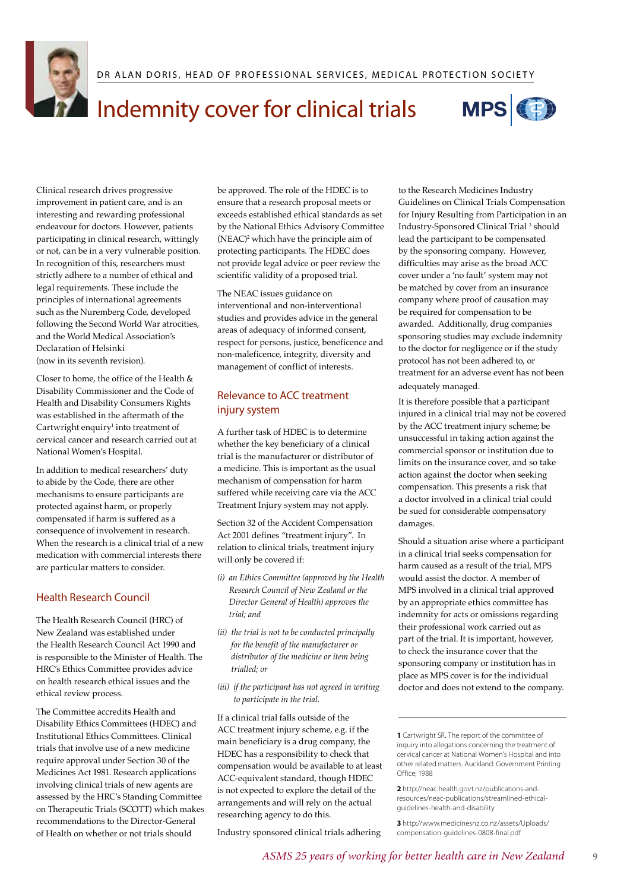

### I Indemnity cover for clinical trials



Clinical research drives progressive improvement in patient care, and is an interesting and rewarding professional endeavour for doctors. However, patients participating in clinical research, wittingly or not, can be in a very vulnerable position. In recognition of this, researchers must strictly adhere to a number of ethical and legal requirements. These include the principles of international agreements such as the Nuremberg Code, developed following the Second World War atrocities, and the World Medical Association's Declaration of Helsinki (now in its seventh revision).

Closer to home, the office of the Health & Disability Commissioner and the Code of Health and Disability Consumers Rights was established in the aftermath of the Cartwright enquiry<sup>1</sup> into treatment of cervical cancer and research carried out at National Women's Hospital.

In addition to medical researchers' duty to abide by the Code, there are other mechanisms to ensure participants are protected against harm, or properly compensated if harm is suffered as a consequence of involvement in research. When the research is a clinical trial of a new medication with commercial interests there are particular matters to consider.

#### Health Research Council

The Health Research Council (HRC) of New Zealand was established under the Health Research Council Act 1990 and is responsible to the Minister of Health. The HRC's Ethics Committee provides advice on health research ethical issues and the ethical review process.

The Committee accredits Health and Disability Ethics Committees (HDEC) and Institutional Ethics Committees. Clinical trials that involve use of a new medicine require approval under Section 30 of the Medicines Act 1981. Research applications involving clinical trials of new agents are assessed by the HRC's Standing Committee on Therapeutic Trials (SCOTT) which makes recommendations to the Director-General of Health on whether or not trials should

be approved. The role of the HDEC is to ensure that a research proposal meets or exceeds established ethical standards as set by the National Ethics Advisory Committee (NEAC)<sup>2</sup> which have the principle aim of protecting participants. The HDEC does not provide legal advice or peer review the scientific validity of a proposed trial.

The NEAC issues guidance on interventional and non-interventional studies and provides advice in the general areas of adequacy of informed consent, respect for persons, justice, beneficence and non-maleficence, integrity, diversity and management of conflict of interests.

#### Relevance to ACC treatment injury system

A further task of HDEC is to determine whether the key beneficiary of a clinical trial is the manufacturer or distributor of a medicine. This is important as the usual mechanism of compensation for harm suffered while receiving care via the ACC Treatment Injury system may not apply.

Section 32 of the Accident Compensation Act 2001 defines "treatment injury". In relation to clinical trials, treatment injury will only be covered if:

- *(i) an Ethics Committee (approved by the Health Research Council of New Zealand or the Director General of Health) approves the trial; and*
- *(ii) the trial is not to be conducted principally for the benefit of the manufacturer or distributor of the medicine or item being trialled; or*
- *(iii) if the participant has not agreed in writing to participate in the trial.*

If a clinical trial falls outside of the ACC treatment injury scheme, e.g. if the main beneficiary is a drug company, the HDEC has a responsibility to check that compensation would be available to at least ACC-equivalent standard, though HDEC is not expected to explore the detail of the arrangements and will rely on the actual researching agency to do this.

Industry sponsored clinical trials adhering

to the Research Medicines Industry Guidelines on Clinical Trials Compensation for Injury Resulting from Participation in an Industry-Sponsored Clinical Trial<sup>3</sup> should lead the participant to be compensated by the sponsoring company. However, difficulties may arise as the broad ACC cover under a 'no fault' system may not be matched by cover from an insurance company where proof of causation may be required for compensation to be awarded. Additionally, drug companies sponsoring studies may exclude indemnity to the doctor for negligence or if the study protocol has not been adhered to, or treatment for an adverse event has not been adequately managed.

It is therefore possible that a participant injured in a clinical trial may not be covered by the ACC treatment injury scheme; be unsuccessful in taking action against the commercial sponsor or institution due to limits on the insurance cover, and so take action against the doctor when seeking compensation. This presents a risk that a doctor involved in a clinical trial could be sued for considerable compensatory damages.

Should a situation arise where a participant in a clinical trial seeks compensation for harm caused as a result of the trial, MPS would assist the doctor. A member of MPS involved in a clinical trial approved by an appropriate ethics committee has indemnity for acts or omissions regarding their professional work carried out as part of the trial. It is important, however, to check the insurance cover that the sponsoring company or institution has in place as MPS cover is for the individual doctor and does not extend to the company.

**9** 

**<sup>1</sup>** Cartwright SR. The report of the committee of inquiry into allegations concerning the treatment of cervical cancer at National Women's Hospital and into other related matters. Auckland: Government Printing Office: 1988

**<sup>2</sup>** http://neac.health.govt.nz/publications-andresources/neac-publications/streamlined-ethicalguidelines-health-and-disability

**<sup>3</sup>** http://www.medicinesnz.co.nz/assets/Uploads/ compensation-guidelines-0808-final.pdf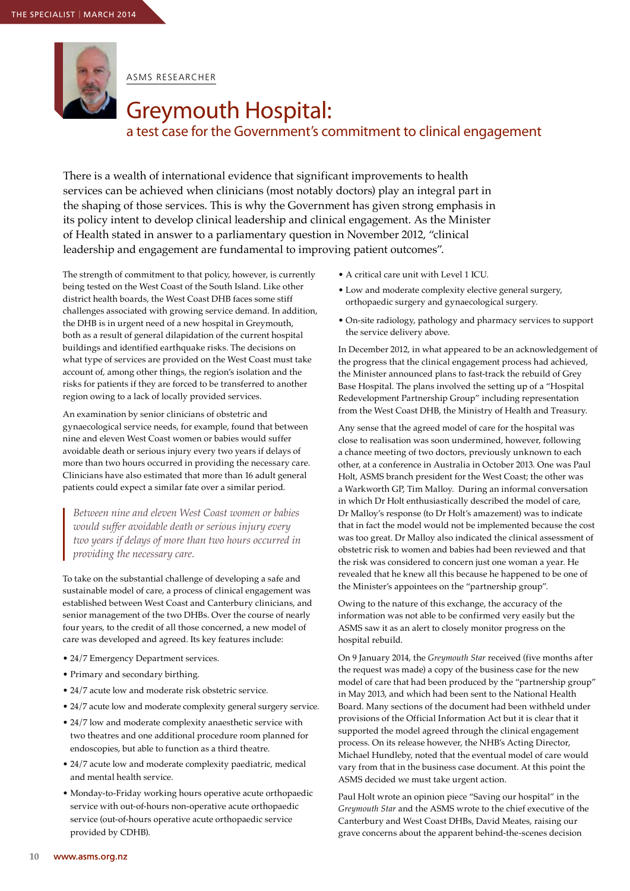

ASMS RESEARCHER

### Greymouth Hospital: a test case for the Government's commitment to clinical engagement

There is a wealth of international evidence that significant improvements to health services can be achieved when clinicians (most notably doctors) play an integral part in the shaping of those services. This is why the Government has given strong emphasis in its policy intent to develop clinical leadership and clinical engagement. As the Minister of Health stated in answer to a parliamentary question in November 2012, "clinical leadership and engagement are fundamental to improving patient outcomes".

The strength of commitment to that policy, however, is currently being tested on the West Coast of the South Island. Like other district health boards, the West Coast DHB faces some stiff challenges associated with growing service demand. In addition, the DHB is in urgent need of a new hospital in Greymouth, both as a result of general dilapidation of the current hospital buildings and identified earthquake risks. The decisions on what type of services are provided on the West Coast must take account of, among other things, the region's isolation and the risks for patients if they are forced to be transferred to another region owing to a lack of locally provided services.

An examination by senior clinicians of obstetric and gynaecological service needs, for example, found that between nine and eleven West Coast women or babies would suffer avoidable death or serious injury every two years if delays of more than two hours occurred in providing the necessary care. Clinicians have also estimated that more than 16 adult general patients could expect a similar fate over a similar period.

*Between nine and eleven West Coast women or babies would suffer avoidable death or serious injury every two years if delays of more than two hours occurred in providing the necessary care.*

To take on the substantial challenge of developing a safe and sustainable model of care, a process of clinical engagement was established between West Coast and Canterbury clinicians, and senior management of the two DHBs. Over the course of nearly four years, to the credit of all those concerned, a new model of care was developed and agreed. Its key features include:

- 24/7 Emergency Department services.
- Primary and secondary birthing.
- 24/7 acute low and moderate risk obstetric service.
- 24/7 acute low and moderate complexity general surgery service.
- 24/7 low and moderate complexity anaesthetic service with two theatres and one additional procedure room planned for endoscopies, but able to function as a third theatre.
- 24/7 acute low and moderate complexity paediatric, medical and mental health service.
- Monday-to-Friday working hours operative acute orthopaedic service with out-of-hours non-operative acute orthopaedic service (out-of-hours operative acute orthopaedic service provided by CDHB).
- A critical care unit with Level 1 ICU.
- Low and moderate complexity elective general surgery, orthopaedic surgery and gynaecological surgery.
- On-site radiology, pathology and pharmacy services to support the service delivery above.

In December 2012, in what appeared to be an acknowledgement of the progress that the clinical engagement process had achieved, the Minister announced plans to fast-track the rebuild of Grey Base Hospital. The plans involved the setting up of a "Hospital Redevelopment Partnership Group" including representation from the West Coast DHB, the Ministry of Health and Treasury.

Any sense that the agreed model of care for the hospital was close to realisation was soon undermined, however, following a chance meeting of two doctors, previously unknown to each other, at a conference in Australia in October 2013. One was Paul Holt, ASMS branch president for the West Coast; the other was a Warkworth GP, Tim Malloy. During an informal conversation in which Dr Holt enthusiastically described the model of care, Dr Malloy's response (to Dr Holt's amazement) was to indicate that in fact the model would not be implemented because the cost was too great. Dr Malloy also indicated the clinical assessment of obstetric risk to women and babies had been reviewed and that the risk was considered to concern just one woman a year. He revealed that he knew all this because he happened to be one of the Minister's appointees on the "partnership group".

Owing to the nature of this exchange, the accuracy of the information was not able to be confirmed very easily but the ASMS saw it as an alert to closely monitor progress on the hospital rebuild.

On 9 January 2014, the *Greymouth Star* received (five months after the request was made) a copy of the business case for the new model of care that had been produced by the "partnership group" in May 2013, and which had been sent to the National Health Board. Many sections of the document had been withheld under provisions of the Official Information Act but it is clear that it supported the model agreed through the clinical engagement process. On its release however, the NHB's Acting Director, Michael Hundleby, noted that the eventual model of care would vary from that in the business case document. At this point the ASMS decided we must take urgent action.

Paul Holt wrote an opinion piece "Saving our hospital" in the *Greymouth Star* and the ASMS wrote to the chief executive of the Canterbury and West Coast DHBs, David Meates, raising our grave concerns about the apparent behind-the-scenes decision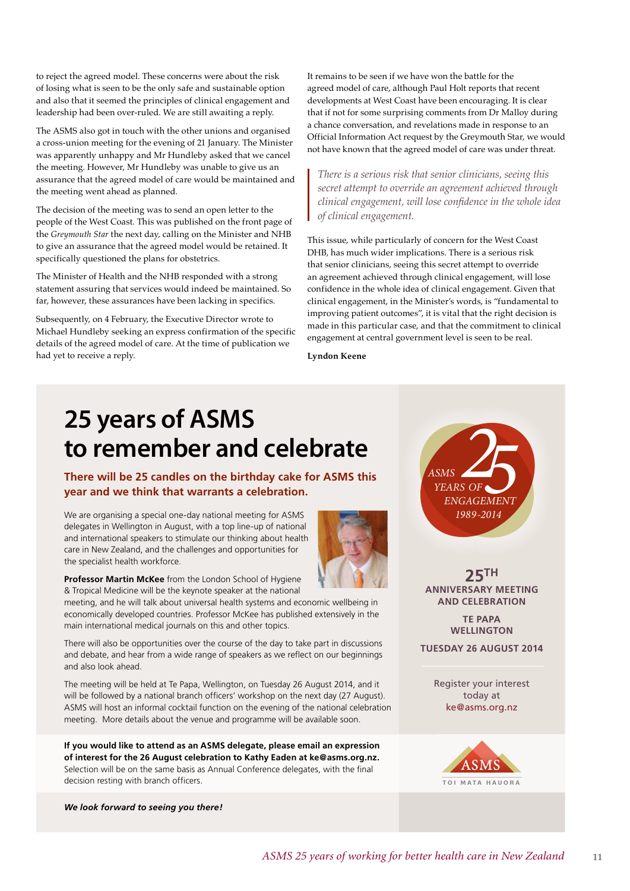to reject the agreed model. These concerns were about the risk of losing what is seen to be the only safe and sustainable option and also that it seemed the principles of clinical engagement and leadership had been over-ruled. We are still awaiting a reply.

The ASMS also got in touch with the other unions and organised a cross-union meeting for the evening of 21 January. The Minister was apparently unhappy and Mr Hundleby asked that we cancel the meeting. However, Mr Hundleby was unable to give us an assurance that the agreed model of care would be maintained and the meeting went ahead as planned.

The decision of the meeting was to send an open letter to the people of the West Coast. This was published on the front page of the *Greymouth Star* the next day, calling on the Minister and NHB to give an assurance that the agreed model would be retained. It specifically questioned the plans for obstetrics.

The Minister of Health and the NHB responded with a strong statement assuring that services would indeed be maintained. So far, however, these assurances have been lacking in specifics.

Subsequently, on 4 February, the Executive Director wrote to Michael Hundleby seeking an express confirmation of the specific details of the agreed model of care. At the time of publication we had yet to receive a reply.

It remains to be seen if we have won the battle for the agreed model of care, although Paul Holt reports that recent developments at West Coast have been encouraging. It is clear that if not for some surprising comments from Dr Malloy during a chance conversation, and revelations made in response to an Official Information Act request by the Greymouth Star, we would not have known that the agreed model of care was under threat.

*There is a serious risk that senior clinicians, seeing this secret attempt to override an agreement achieved through clinical engagement, will lose confidence in the whole idea of clinical engagement.*

This issue, while particularly of concern for the West Coast DHB, has much wider implications. There is a serious risk that senior clinicians, seeing this secret attempt to override an agreement achieved through clinical engagement, will lose confidence in the whole idea of clinical engagement. Given that clinical engagement, in the Minister's words, is "fundamental to improving patient outcomes", it is vital that the right decision is made in this particular case, and that the commitment to clinical engagement at central government level is seen to be real.

**Lyndon Keene**

## **25 years of ASMS to remember and celebrate**

**ASMS**<br>*YEARS OF*<br>*ENGAGEMENT* **There will be 25 candles on the birthday cake for ASMS this year and we think that warrants a celebration.**

We are organising a special one-day national meeting for ASMS delegates in Wellington in August, with a top line-up of national and international speakers to stimulate our thinking about health care in New Zealand, and the challenges and opportunities for the specialist health workforce.



**Professor Martin McKee** from the London School of Hygiene & Tropical Medicine will be the keynote speaker at the national

meeting, and he will talk about universal health systems and economic wellbeing in economically developed countries. Professor McKee has published extensively in the main international medical journals on this and other topics.

There will also be opportunities over the course of the day to take part in discussions and debate, and hear from a wide range of speakers as we reflect on our beginnings and also look ahead.

The meeting will be held at Te Papa, Wellington, on Tuesday 26 August 2014, and it will be followed by a national branch officers' workshop on the next day (27 August). ASMS will host an informal cocktail function on the evening of the national celebration meeting. More details about the venue and programme will be available soon.

**If you would like to attend as an ASMS delegate, please email an expression of interest for the 26 August celebration to Kathy Eaden at ke@asms.org.nz.** Selection will be on the same basis as Annual Conference delegates, with the final decision resting with branch officers.

*We look forward to seeing you there!*



Register your interest today at ke@asms.org.nz

**25TH ANNIVERSARY MEETING AND CELEBRATION TE PAPA WELLINGTON TUESDAY 26 AUGUST 2014**

*ENGAGEMENT*

*1989-2014*

*YEARS OF*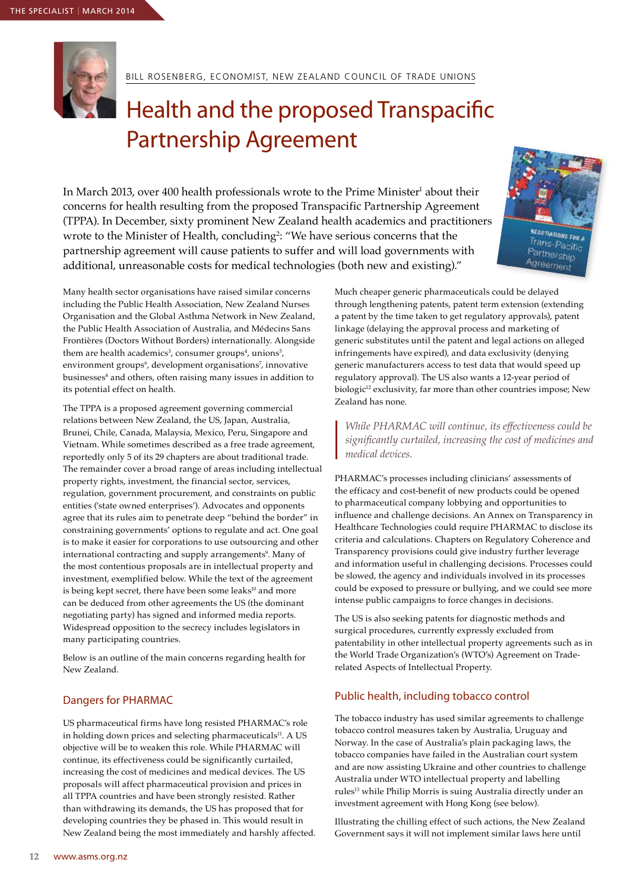

BILL ROSENBERG, ECONOMIST, NEW ZEALAND COUNCIL OF TRADE UNIONS

### Health and the proposed Transpacific Partnership Agreement

In March 2013, over 400 health professionals wrote to the Prime Minister<sup>1</sup> about their concerns for health resulting from the proposed Transpacific Partnership Agreement (TPPA). In December, sixty prominent New Zealand health academics and practitioners wrote to the Minister of Health, concluding<sup>2</sup>: "We have serious concerns that the partnership agreement will cause patients to suffer and will load governments with additional, unreasonable costs for medical technologies (both new and existing)."



Many health sector organisations have raised similar concerns including the Public Health Association, New Zealand Nurses Organisation and the Global Asthma Network in New Zealand, the Public Health Association of Australia, and Médecins Sans Frontières (Doctors Without Borders) internationally. Alongside them are health academics<sup>3</sup>, consumer groups<sup>4</sup>, unions<sup>5</sup>, environment groups<sup>6</sup>, development organisations<sup>7</sup>, innovative businesses<sup>s</sup> and others*,* often raising many issues in addition to its potential effect on health.

The TPPA is a proposed agreement governing commercial relations between New Zealand, the US, Japan, Australia, Brunei, Chile, Canada, Malaysia, Mexico, Peru, Singapore and Vietnam. While sometimes described as a free trade agreement, reportedly only 5 of its 29 chapters are about traditional trade. The remainder cover a broad range of areas including intellectual property rights, investment, the financial sector, services, regulation, government procurement, and constraints on public entities ('state owned enterprises'). Advocates and opponents agree that its rules aim to penetrate deep "behind the border" in constraining governments' options to regulate and act. One goal is to make it easier for corporations to use outsourcing and other international contracting and supply arrangements<sup>9</sup>. Many of the most contentious proposals are in intellectual property and investment, exemplified below. While the text of the agreement is being kept secret, there have been some leaks<sup>10</sup> and more can be deduced from other agreements the US (the dominant negotiating party) has signed and informed media reports. Widespread opposition to the secrecy includes legislators in many participating countries.

Below is an outline of the main concerns regarding health for New Zealand.

#### Dangers for PHARMAC

US pharmaceutical firms have long resisted PHARMAC's role in holding down prices and selecting pharmaceuticals<sup>11</sup>. A US objective will be to weaken this role. While PHARMAC will continue, its effectiveness could be significantly curtailed, increasing the cost of medicines and medical devices. The US proposals will affect pharmaceutical provision and prices in all TPPA countries and have been strongly resisted. Rather than withdrawing its demands, the US has proposed that for developing countries they be phased in. This would result in New Zealand being the most immediately and harshly affected. Much cheaper generic pharmaceuticals could be delayed through lengthening patents, patent term extension (extending a patent by the time taken to get regulatory approvals), patent linkage (delaying the approval process and marketing of generic substitutes until the patent and legal actions on alleged infringements have expired), and data exclusivity (denying generic manufacturers access to test data that would speed up regulatory approval). The US also wants a 12-year period of biologic<sup>12</sup> exclusivity, far more than other countries impose; New Zealand has none.

*While PHARMAC will continue, its effectiveness could be significantly curtailed, increasing the cost of medicines and medical devices.* 

PHARMAC's processes including clinicians' assessments of the efficacy and cost-benefit of new products could be opened to pharmaceutical company lobbying and opportunities to influence and challenge decisions. An Annex on Transparency in Healthcare Technologies could require PHARMAC to disclose its criteria and calculations. Chapters on Regulatory Coherence and Transparency provisions could give industry further leverage and information useful in challenging decisions. Processes could be slowed, the agency and individuals involved in its processes could be exposed to pressure or bullying, and we could see more intense public campaigns to force changes in decisions.

The US is also seeking patents for diagnostic methods and surgical procedures, currently expressly excluded from patentability in other intellectual property agreements such as in the World Trade Organization's (WTO's) Agreement on Traderelated Aspects of Intellectual Property.

#### Public health, including tobacco control

The tobacco industry has used similar agreements to challenge tobacco control measures taken by Australia, Uruguay and Norway. In the case of Australia's plain packaging laws, the tobacco companies have failed in the Australian court system and are now assisting Ukraine and other countries to challenge Australia under WTO intellectual property and labelling rules13 while Philip Morris is suing Australia directly under an investment agreement with Hong Kong (see below).

Illustrating the chilling effect of such actions, the New Zealand Government says it will not implement similar laws here until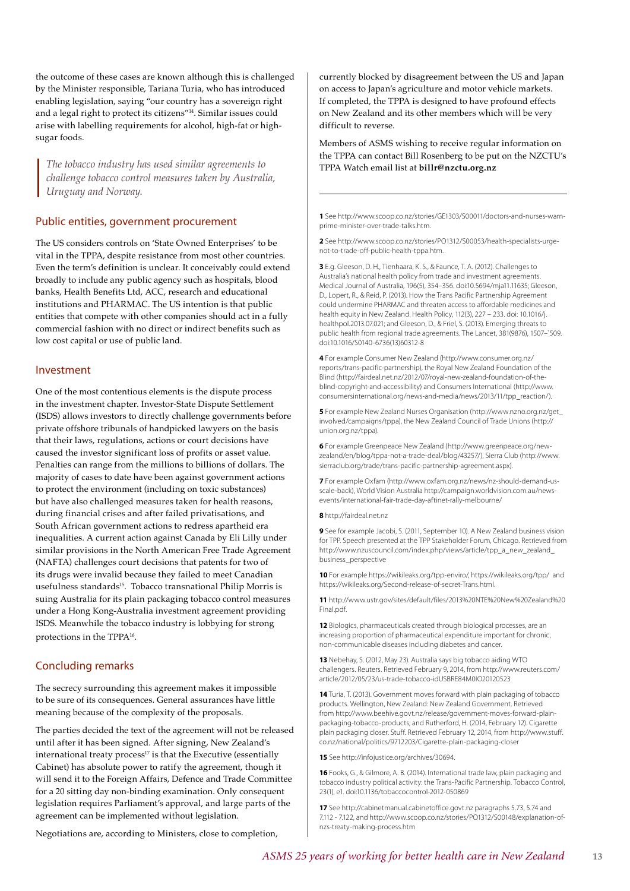the outcome of these cases are known although this is challenged by the Minister responsible, Tariana Turia, who has introduced enabling legislation, saying "our country has a sovereign right and a legal right to protect its citizens"14. Similar issues could arise with labelling requirements for alcohol, high-fat or highsugar foods.

*The tobacco industry has used similar agreements to challenge tobacco control measures taken by Australia, Uruguay and Norway.*

#### Public entities, government procurement

The US considers controls on 'State Owned Enterprises' to be vital in the TPPA, despite resistance from most other countries. Even the term's definition is unclear. It conceivably could extend broadly to include any public agency such as hospitals, blood banks, Health Benefits Ltd, ACC, research and educational institutions and PHARMAC. The US intention is that public entities that compete with other companies should act in a fully commercial fashion with no direct or indirect benefits such as low cost capital or use of public land.

#### Investment

One of the most contentious elements is the dispute process in the investment chapter. Investor-State Dispute Settlement (ISDS) allows investors to directly challenge governments before private offshore tribunals of handpicked lawyers on the basis that their laws, regulations, actions or court decisions have caused the investor significant loss of profits or asset value. Penalties can range from the millions to billions of dollars. The majority of cases to date have been against government actions to protect the environment (including on toxic substances) but have also challenged measures taken for health reasons, during financial crises and after failed privatisations, and South African government actions to redress apartheid era inequalities. A current action against Canada by Eli Lilly under similar provisions in the North American Free Trade Agreement (NAFTA) challenges court decisions that patents for two of its drugs were invalid because they failed to meet Canadian usefulness standards<sup>15</sup>. Tobacco transnational Philip Morris is suing Australia for its plain packaging tobacco control measures under a Hong Kong-Australia investment agreement providing ISDS. Meanwhile the tobacco industry is lobbying for strong protections in the TPPA<sup>16</sup>.

#### Concluding remarks

The secrecy surrounding this agreement makes it impossible to be sure of its consequences. General assurances have little meaning because of the complexity of the proposals.

The parties decided the text of the agreement will not be released until after it has been signed. After signing, New Zealand's international treaty process<sup>17</sup> is that the Executive (essentially Cabinet) has absolute power to ratify the agreement, though it will send it to the Foreign Affairs, Defence and Trade Committee for a 20 sitting day non-binding examination. Only consequent legislation requires Parliament's approval, and large parts of the agreement can be implemented without legislation.

Negotiations are, according to Ministers, close to completion,

currently blocked by disagreement between the US and Japan on access to Japan's agriculture and motor vehicle markets. If completed, the TPPA is designed to have profound effects on New Zealand and its other members which will be very difficult to reverse.

Members of ASMS wishing to receive regular information on the TPPA can contact Bill Rosenberg to be put on the NZCTU's TPPA Watch email list at **billr@nzctu.org.nz**

**1** See http://www.scoop.co.nz/stories/GE1303/S00011/doctors-and-nurses-warnprime-minister-over-trade-talks.htm.

**2** See http://www.scoop.co.nz/stories/PO1312/S00053/health-specialists-urgenot-to-trade-off-public-health-tppa.htm.

**3** E.g. Gleeson, D. H., Tienhaara, K. S., & Faunce, T. A. (2012). Challenges to Australia's national health policy from trade and investment agreements. Medical Journal of Australia, 196(5), 354–356. doi:10.5694/mja11.11635; Gleeson, D., Lopert, R., & Reid, P. (2013). How the Trans Pacific Partnership Agreement could undermine PHARMAC and threaten access to affordable medicines and health equity in New Zealand. Health Policy, 112(3), 227 – 233. doi: 10.1016/j. healthpol.2013.07.021; and Gleeson, D., & Friel, S. (2013). Emerging threats to public health from regional trade agreements. The Lancet, 381(9876), 1507–`509. doi:10.1016/S0140-6736(13)60312-8

**4** For example Consumer New Zealand (http://www.consumer.org.nz/ reports/trans-pacific-partnership), the Royal New Zealand Foundation of the Blind (http://fairdeal.net.nz/2012/07/royal-new-zealand-foundation-of-theblind-copyright-and-accessibility) and Consumers International (http://www. consumersinternational.org/news-and-media/news/2013/11/tpp\_reaction/).

**5** For example New Zealand Nurses Organisation (http://www.nzno.org.nz/get\_ involved/campaigns/tppa), the New Zealand Council of Trade Unions (http:// union.org.nz/tppa).

**6** For example Greenpeace New Zealand (http://www.greenpeace.org/newzealand/en/blog/tppa-not-a-trade-deal/blog/43257/), Sierra Club (http://www. sierraclub.org/trade/trans-pacific-partnership-agreement.aspx).

**7** For example Oxfam (http://www.oxfam.org.nz/news/nz-should-demand-usscale-back), World Vision Australia http://campaign.worldvision.com.au/newsevents/international-fair-trade-day-aftinet-rally-melbourne/

**8** http://fairdeal.net.nz

**9** See for example Jacobi, S. (2011, September 10). A New Zealand business vision for TPP. Speech presented at the TPP Stakeholder Forum, Chicago. Retrieved from http://www.nzuscouncil.com/index.php/views/article/tpp\_a\_new\_zealand\_ business\_perspective

**10** For example https://wikileaks.org/tpp-enviro/, https://wikileaks.org/tpp/ and https://wikileaks.org/Second-release-of-secret-Trans.html.

**11** http://www.ustr.gov/sites/default/files/2013%20NTE%20New%20Zealand%20 Final.pdf.

**12** Biologics, pharmaceuticals created through biological processes, are an increasing proportion of pharmaceutical expenditure important for chronic, non-communicable diseases including diabetes and cancer.

**13** Nebehay, S. (2012, May 23). Australia says big tobacco aiding WTO challengers. Reuters. Retrieved February 9, 2014, from http://www.reuters.com/ article/2012/05/23/us-trade-tobacco-idUSBRE84M0IO20120523

**14** Turia, T. (2013). Government moves forward with plain packaging of tobacco products. Wellington, New Zealand: New Zealand Government. Retrieved from http://www.beehive.govt.nz/release/government-moves-forward-plainpackaging-tobacco-products; and Rutherford, H. (2014, February 12). Cigarette plain packaging closer. Stuff. Retrieved February 12, 2014, from http://www.stuff. co.nz/national/politics/9712203/Cigarette-plain-packaging-closer

**15** See http://infojustice.org/archives/30694.

**16** Fooks, G., & Gilmore, A. B. (2014). International trade law, plain packaging and tobacco industry political activity: the Trans-Pacific Partnership. Tobacco Control, 23(1), e1. doi:10.1136/tobaccocontrol-2012-050869

**17** See http://cabinetmanual.cabinetoffice.govt.nz paragraphs 5.73, 5.74 and 7.112 - 7.122, and http://www.scoop.co.nz/stories/PO1312/S00148/explanation-ofnzs-treaty-making-process.htm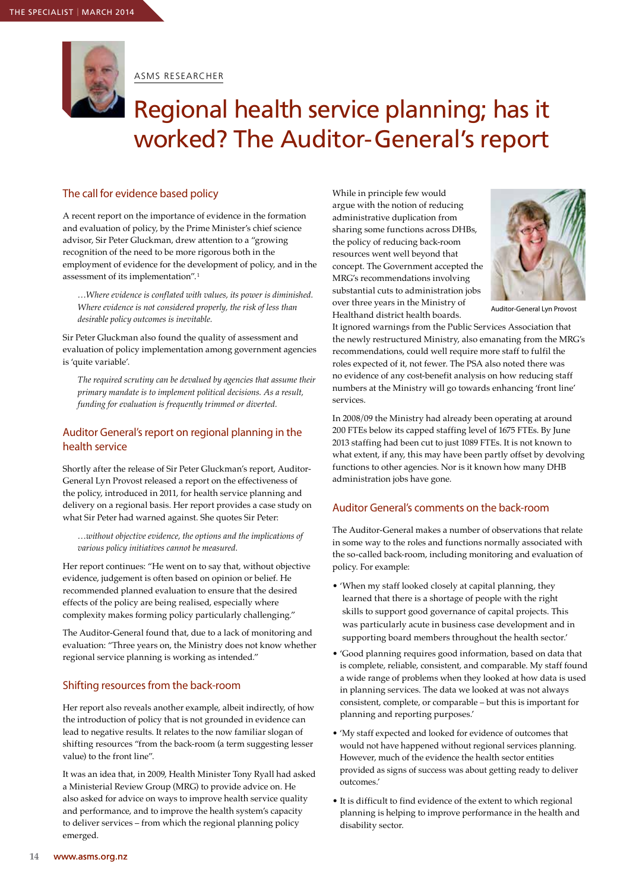

ASMS RESEARCHER

### Regional health service planning; has it worked? The Auditor-General's report

#### The call for evidence based policy

A recent report on the importance of evidence in the formation and evaluation of policy, by the Prime Minister's chief science advisor, Sir Peter Gluckman, drew attention to a "growing recognition of the need to be more rigorous both in the employment of evidence for the development of policy, and in the assessment of its implementation". 1

*…Where evidence is conflated with values, its power is diminished. Where evidence is not considered properly, the risk of less than desirable policy outcomes is inevitable.*

Sir Peter Gluckman also found the quality of assessment and evaluation of policy implementation among government agencies is 'quite variable'.

*The required scrutiny can be devalued by agencies that assume their primary mandate is to implement political decisions. As a result, funding for evaluation is frequently trimmed or diverted.*

#### Auditor General's report on regional planning in the health service

Shortly after the release of Sir Peter Gluckman's report, Auditor-General Lyn Provost released a report on the effectiveness of the policy, introduced in 2011, for health service planning and delivery on a regional basis. Her report provides a case study on what Sir Peter had warned against. She quotes Sir Peter:

*…without objective evidence, the options and the implications of various policy initiatives cannot be measured.* 

Her report continues: "He went on to say that, without objective evidence, judgement is often based on opinion or belief. He recommended planned evaluation to ensure that the desired effects of the policy are being realised, especially where complexity makes forming policy particularly challenging."

The Auditor-General found that, due to a lack of monitoring and evaluation: "Three years on, the Ministry does not know whether regional service planning is working as intended."

#### Shifting resources from the back-room

Her report also reveals another example, albeit indirectly, of how the introduction of policy that is not grounded in evidence can lead to negative results. It relates to the now familiar slogan of shifting resources "from the back-room (a term suggesting lesser value) to the front line".

It was an idea that, in 2009, Health Minister Tony Ryall had asked a Ministerial Review Group (MRG) to provide advice on. He also asked for advice on ways to improve health service quality and performance, and to improve the health system's capacity to deliver services – from which the regional planning policy emerged.

While in principle few would argue with the notion of reducing administrative duplication from sharing some functions across DHBs, the policy of reducing back-room resources went well beyond that concept. The Government accepted the MRG's recommendations involving substantial cuts to administration jobs over three years in the Ministry of Healthand district health boards.



Auditor-General Lyn Provost

It ignored warnings from the Public Services Association that the newly restructured Ministry, also emanating from the MRG's recommendations, could well require more staff to fulfil the roles expected of it, not fewer. The PSA also noted there was no evidence of any cost-benefit analysis on how reducing staff numbers at the Ministry will go towards enhancing 'front line' services.

In 2008/09 the Ministry had already been operating at around 200 FTEs below its capped staffing level of 1675 FTEs. By June 2013 staffing had been cut to just 1089 FTEs. It is not known to what extent, if any, this may have been partly offset by devolving functions to other agencies. Nor is it known how many DHB administration jobs have gone.

#### Auditor General's comments on the back-room

The Auditor-General makes a number of observations that relate in some way to the roles and functions normally associated with the so-called back-room, including monitoring and evaluation of policy. For example:

- 'When my staff looked closely at capital planning, they learned that there is a shortage of people with the right skills to support good governance of capital projects. This was particularly acute in business case development and in supporting board members throughout the health sector.'
- 'Good planning requires good information, based on data that is complete, reliable, consistent, and comparable. My staff found a wide range of problems when they looked at how data is used in planning services. The data we looked at was not always consistent, complete, or comparable – but this is important for planning and reporting purposes.'
- 'My staff expected and looked for evidence of outcomes that would not have happened without regional services planning. However, much of the evidence the health sector entities provided as signs of success was about getting ready to deliver outcomes.'
- It is difficult to find evidence of the extent to which regional planning is helping to improve performance in the health and disability sector.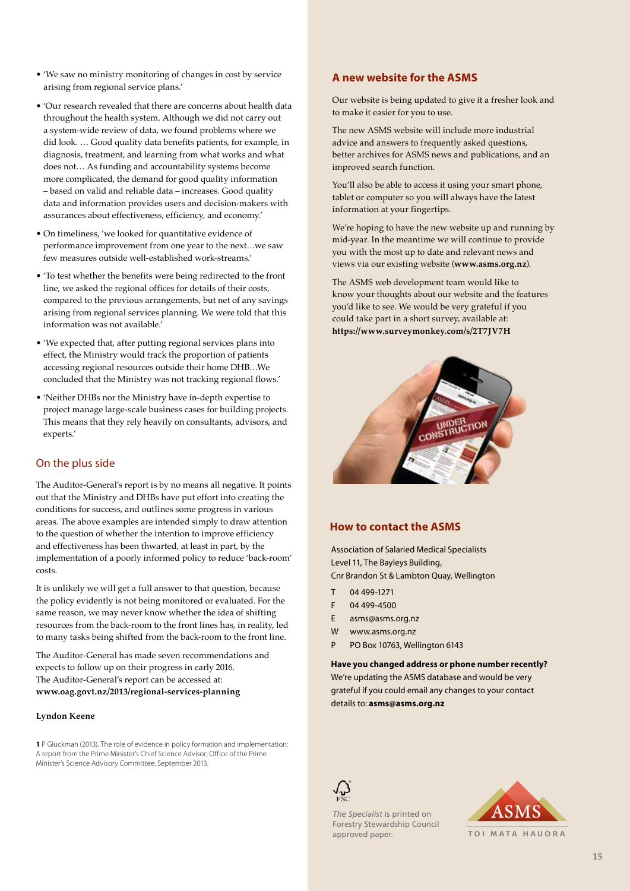- 'We saw no ministry monitoring of changes in cost by service arising from regional service plans.'
- 'Our research revealed that there are concerns about health data throughout the health system. Although we did not carry out a system-wide review of data, we found problems where we did look. … Good quality data benefits patients, for example, in diagnosis, treatment, and learning from what works and what does not… As funding and accountability systems become more complicated, the demand for good quality information – based on valid and reliable data – increases. Good quality data and information provides users and decision-makers with assurances about effectiveness, efficiency, and economy.'
- On timeliness, 'we looked for quantitative evidence of performance improvement from one year to the next…we saw few measures outside well-established work-streams.'
- 'To test whether the benefits were being redirected to the front line, we asked the regional offices for details of their costs, compared to the previous arrangements, but net of any savings arising from regional services planning. We were told that this information was not available.'
- 'We expected that, after putting regional services plans into effect, the Ministry would track the proportion of patients accessing regional resources outside their home DHB…We concluded that the Ministry was not tracking regional flows.'
- 'Neither DHBs nor the Ministry have in-depth expertise to project manage large-scale business cases for building projects. This means that they rely heavily on consultants, advisors, and experts.'

#### On the plus side

The Auditor-General's report is by no means all negative. It points out that the Ministry and DHBs have put effort into creating the conditions for success, and outlines some progress in various areas. The above examples are intended simply to draw attention to the question of whether the intention to improve efficiency and effectiveness has been thwarted, at least in part, by the implementation of a poorly informed policy to reduce 'back-room' costs.

It is unlikely we will get a full answer to that question, because the policy evidently is not being monitored or evaluated. For the same reason, we may never know whether the idea of shifting resources from the back-room to the front lines has, in reality, led to many tasks being shifted from the back-room to the front line.

The Auditor-General has made seven recommendations and expects to follow up on their progress in early 2016. The Auditor-General's report can be accessed at: **www.oag.govt.nz/2013/regional-services-planning**

#### **Lyndon Keene**

**1** P Gluckman (2013). The role of evidence in policy formation and implementation: A report from the Prime Minister's Chief Science Advisor; Office of the Prime Minister's Science Advisory Committee, September 2013.

#### **A new website for the ASMS**

Our website is being updated to give it a fresher look and to make it easier for you to use.

The new ASMS website will include more industrial advice and answers to frequently asked questions, better archives for ASMS news and publications, and an improved search function.

You'll also be able to access it using your smart phone, tablet or computer so you will always have the latest information at your fingertips.

We're hoping to have the new website up and running by mid-year. In the meantime we will continue to provide you with the most up to date and relevant news and views via our existing website (**www.asms.org.nz**).

The ASMS web development team would like to know your thoughts about our website and the features you'd like to see. We would be very grateful if you could take part in a short survey, available at: **https://www.surveymonkey.com/s/2T7JV7H**



#### **How to contact the ASMS**

Association of Salaried Medical Specialists Level 11, The Bayleys Building, Cnr Brandon St & Lambton Quay, Wellington

- T 04 499-1271
- F 04 499-4500
- E asms@asms.org.nz
- W www.asms.org.nz
- P PO Box 10763, Wellington 6143

**Have you changed address or phone number recently?**  We're updating the ASMS database and would be very grateful if you could email any changes to your contact details to: **asms@asms.org.nz**



**The Specialist is printed on** Forestry Stewardship Council approved paper.



TOI MATA HAUORA